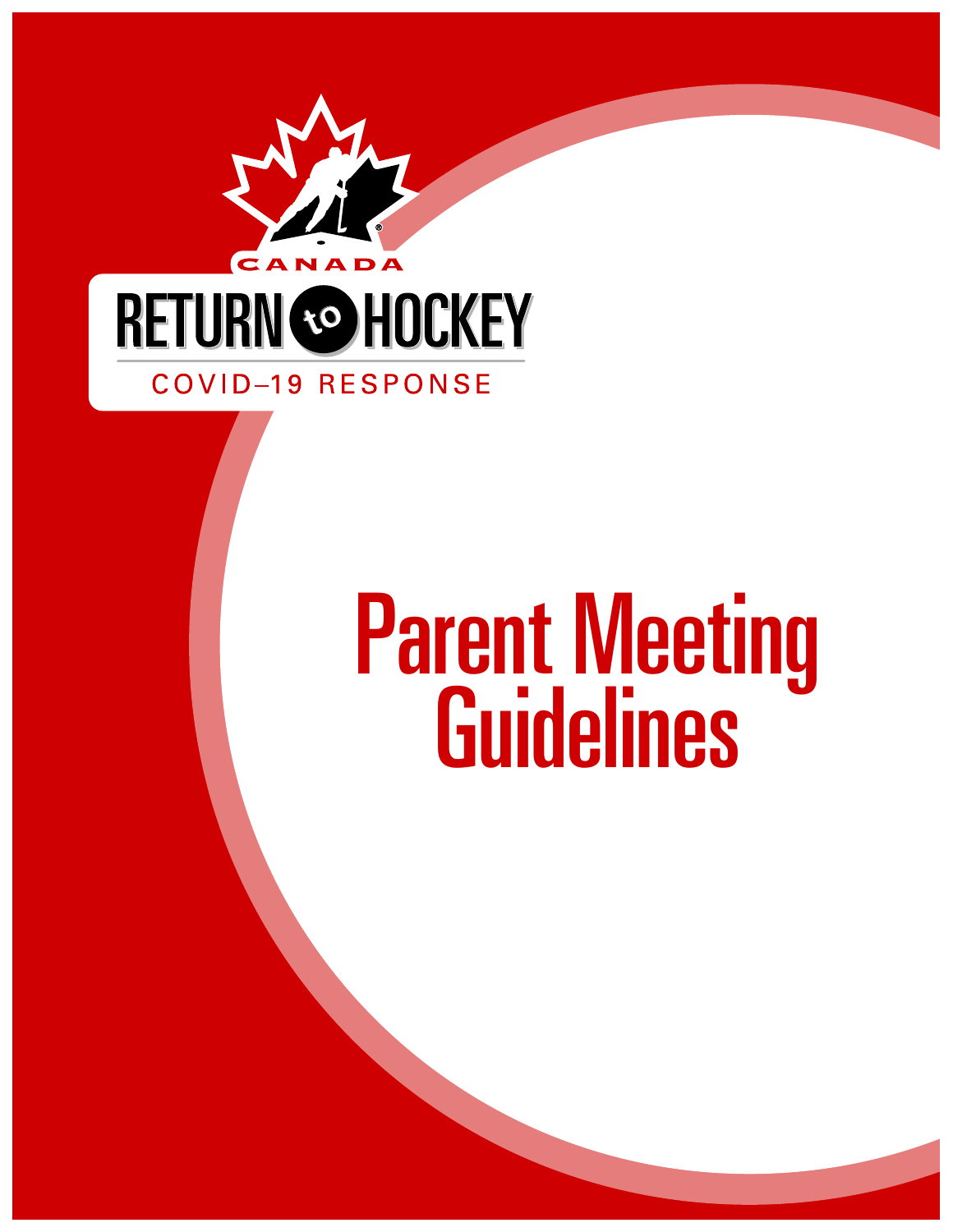

# Parent Meeting Guidelines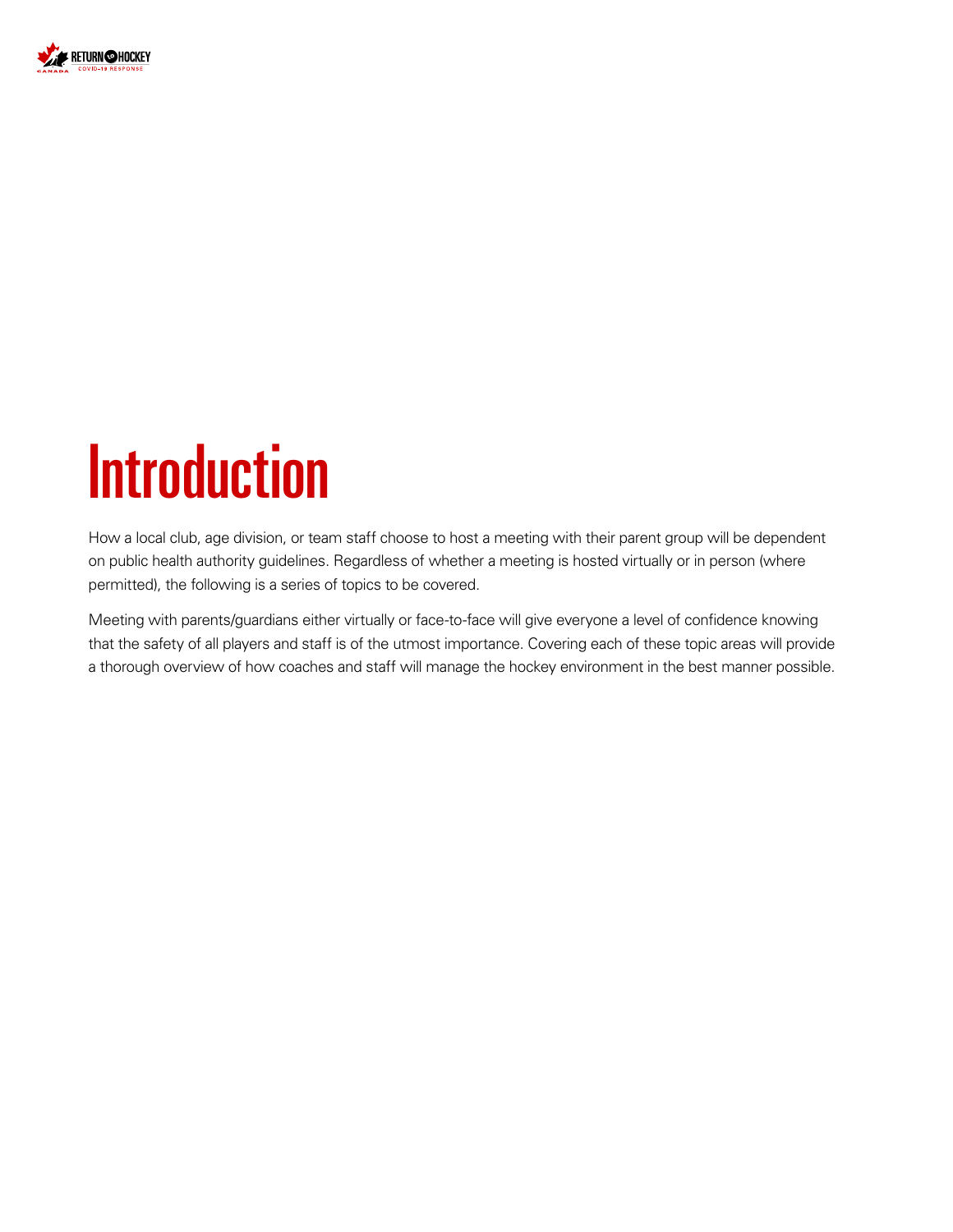

### **Introduction**

How a local club, age division, or team staff choose to host a meeting with their parent group will be dependent on public health authority guidelines. Regardless of whether a meeting is hosted virtually or in person (where permitted), the following is a series of topics to be covered.

Meeting with parents/guardians either virtually or face-to-face will give everyone a level of confidence knowing that the safety of all players and staff is of the utmost importance. Covering each of these topic areas will provide a thorough overview of how coaches and staff will manage the hockey environment in the best manner possible.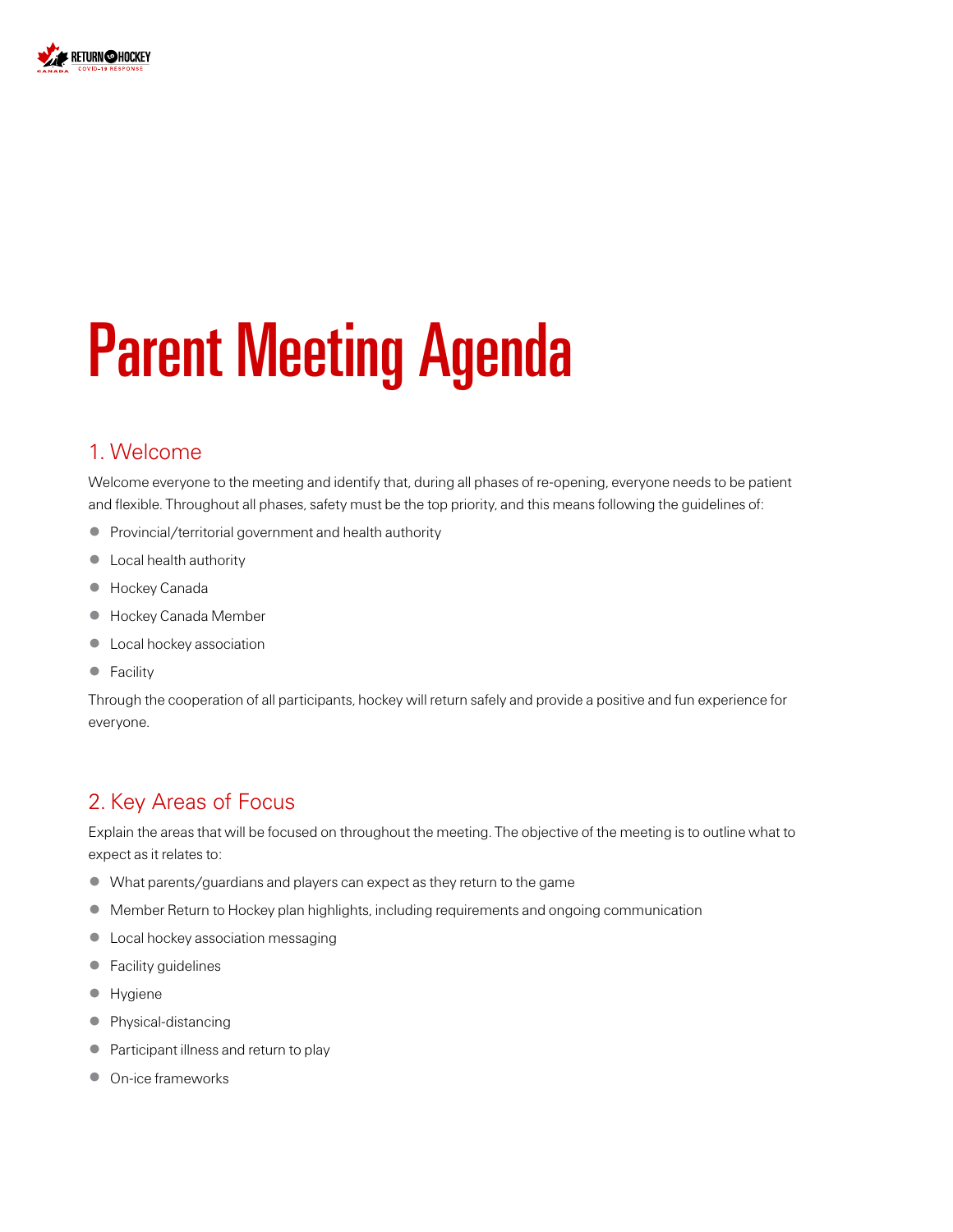

## Parent Meeting Agenda

#### 1. Welcome

Welcome everyone to the meeting and identify that, during all phases of re-opening, everyone needs to be patient and flexible. Throughout all phases, safety must be the top priority, and this means following the guidelines of:

- Provincial/territorial government and health authority
- Local health authority
- Hockey Canada
- Hockey Canada Member
- **•** Local hockey association
- Facility

Through the cooperation of all participants, hockey will return safely and provide a positive and fun experience for everyone.

#### 2. Key Areas of Focus

Explain the areas that will be focused on throughout the meeting. The objective of the meeting is to outline what to expect as it relates to:

- What parents/guardians and players can expect as they return to the game
- Member Return to Hockey plan highlights, including requirements and ongoing communication
- Local hockey association messaging
- Facility guidelines
- Hygiene
- Physical-distancing
- Participant illness and return to play
- On-ice frameworks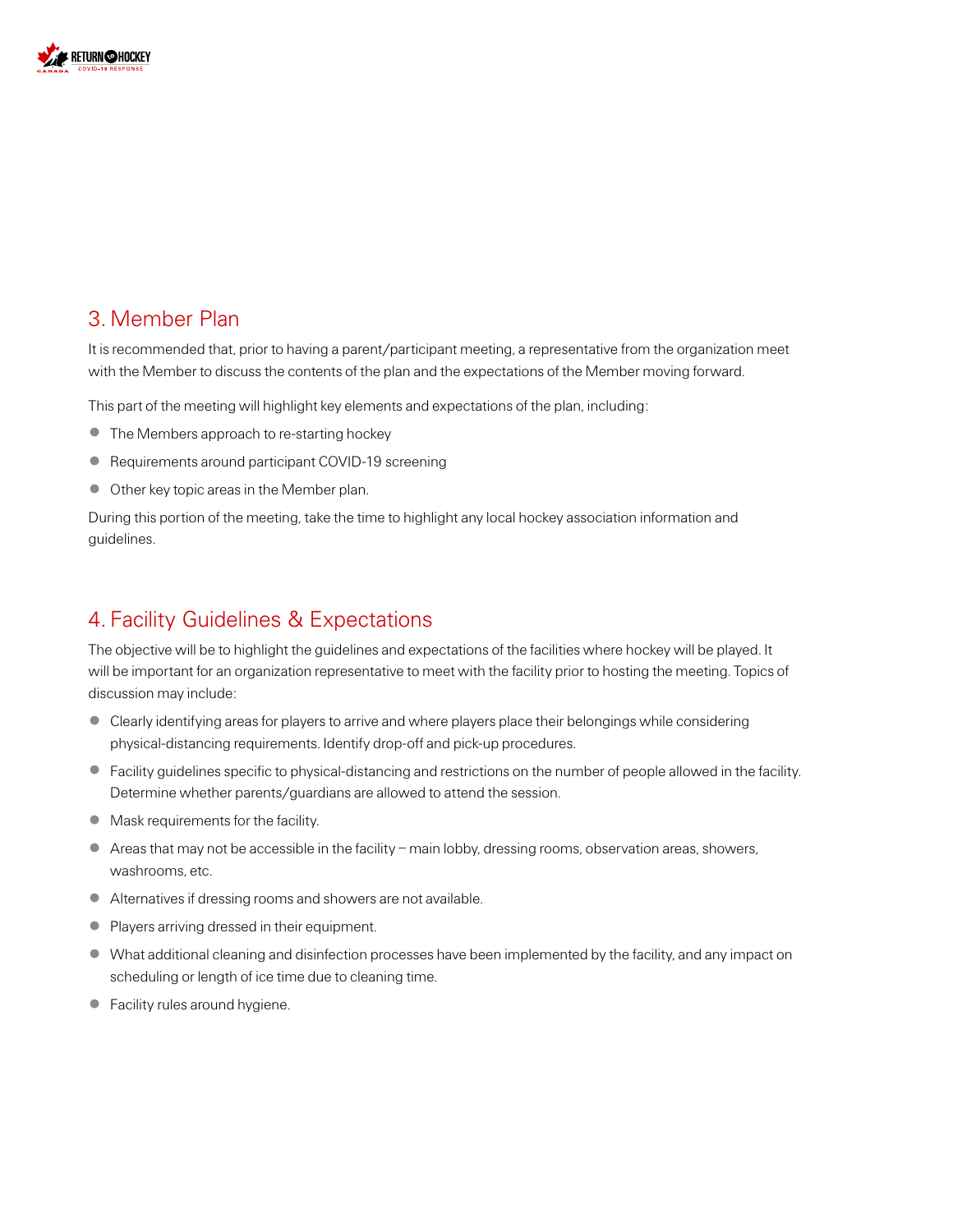

#### 3. Member Plan

It is recommended that, prior to having a parent/participant meeting, a representative from the organization meet with the Member to discuss the contents of the plan and the expectations of the Member moving forward.

This part of the meeting will highlight key elements and expectations of the plan, including:

- The Members approach to re-starting hockey
- Requirements around participant COVID-19 screening
- Other key topic areas in the Member plan.

During this portion of the meeting, take the time to highlight any local hockey association information and guidelines.

#### 4. Facility Guidelines & Expectations

The objective will be to highlight the guidelines and expectations of the facilities where hockey will be played. It will be important for an organization representative to meet with the facility prior to hosting the meeting. Topics of discussion may include:

- Clearly identifying areas for players to arrive and where players place their belongings while considering physical-distancing requirements. Identify drop-off and pick-up procedures.
- Facility guidelines specific to physical-distancing and restrictions on the number of people allowed in the facility. Determine whether parents/guardians are allowed to attend the session.
- Mask requirements for the facility.
- Areas that may not be accessible in the facility main lobby, dressing rooms, observation areas, showers, washrooms, etc.
- Alternatives if dressing rooms and showers are not available.
- Players arriving dressed in their equipment.
- What additional cleaning and disinfection processes have been implemented by the facility, and any impact on scheduling or length of ice time due to cleaning time.
- Facility rules around hygiene.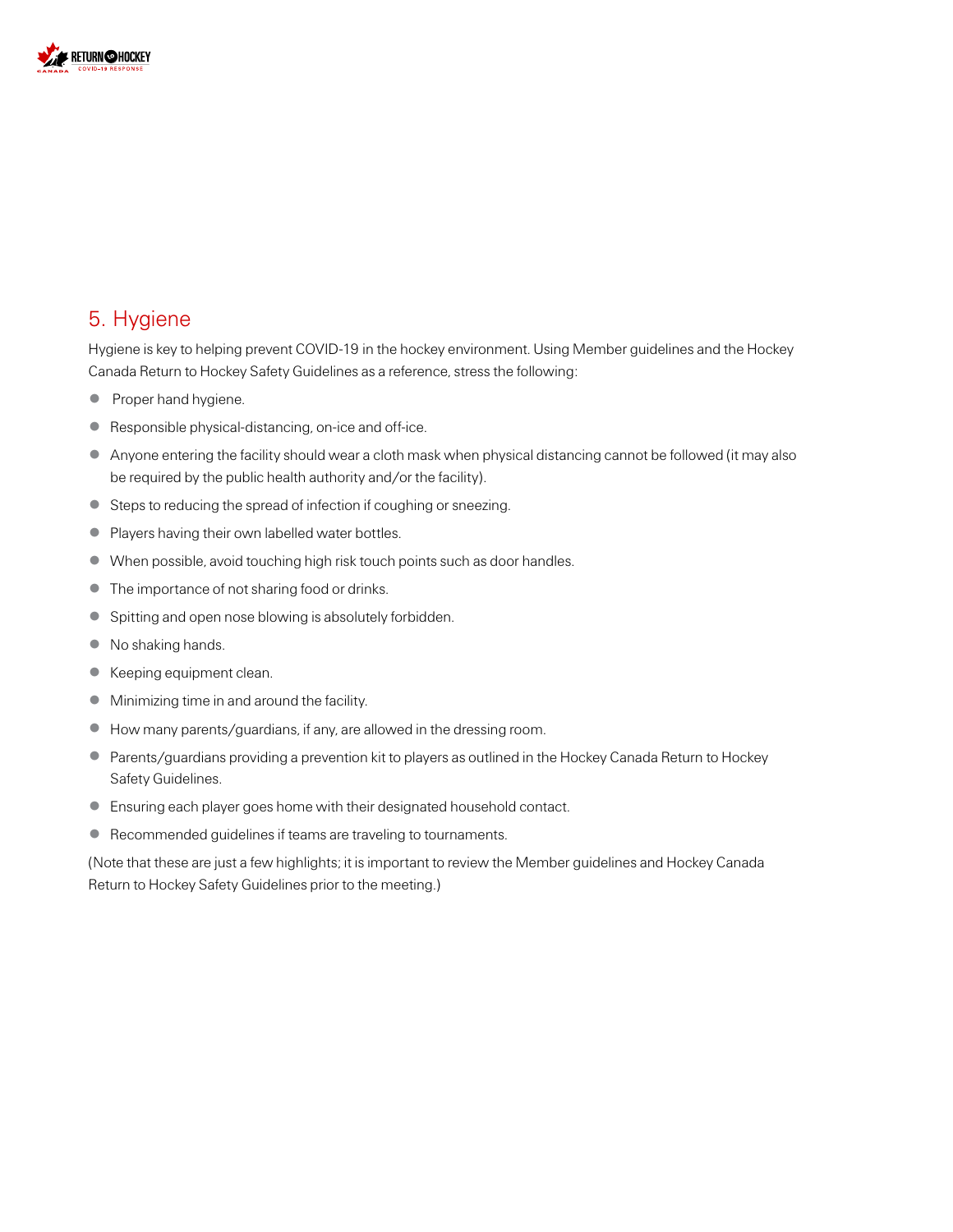

#### 5. Hygiene

Hygiene is key to helping prevent COVID-19 in the hockey environment. Using Member guidelines and the Hockey Canada Return to Hockey Safety Guidelines as a reference, stress the following:

- Proper hand hygiene.
- Responsible physical-distancing, on-ice and off-ice.
- Anyone entering the facility should wear a cloth mask when physical distancing cannot be followed (it may also be required by the public health authority and/or the facility).
- Steps to reducing the spread of infection if coughing or sneezing.
- Players having their own labelled water bottles.
- When possible, avoid touching high risk touch points such as door handles.
- The importance of not sharing food or drinks.
- Spitting and open nose blowing is absolutely forbidden.
- No shaking hands.
- Keeping equipment clean.
- Minimizing time in and around the facility.
- How many parents/guardians, if any, are allowed in the dressing room.
- Parents/guardians providing a prevention kit to players as outlined in the Hockey Canada Return to Hockey Safety Guidelines.
- Ensuring each player goes home with their designated household contact.
- Recommended guidelines if teams are traveling to tournaments.

(Note that these are just a few highlights; it is important to review the Member guidelines and Hockey Canada Return to Hockey Safety Guidelines prior to the meeting.)